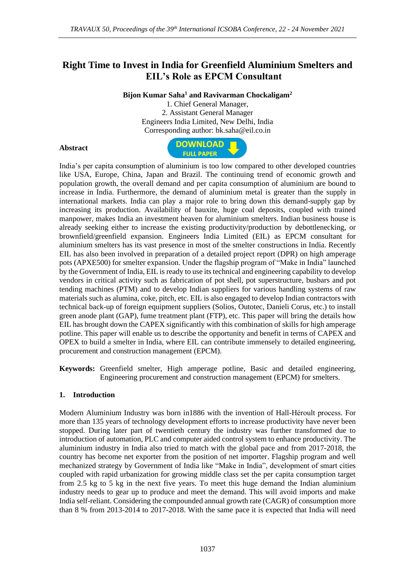# **Right Time to Invest in India for Greenfield Aluminium Smelters and EIL's Role as EPCM Consultant**

**Bijon Kumar Saha<sup>1</sup> and Ravivarman Chockaligam<sup>2</sup>**

1. Chief General Manager, 2. Assistant General Manager Engineers India Limited, New Delhi, India Corresponding author: bk.saha@eil.co.in

### **Abstract**



India's per capita consumption of aluminium is too low compared to other developed countries like USA, Europe, China, Japan and Brazil. The continuing trend of economic growth and population growth, the overall demand and per capita consumption of aluminium are bound to increase in India. Furthermore, the demand of aluminium metal is greater than the supply in international markets. India can play a major role to bring down this demand-supply gap by increasing its production. Availability of bauxite, huge coal deposits, coupled with trained manpower, makes India an investment heaven for aluminium smelters. Indian business house is already seeking either to increase the existing productivity/production by debottlenecking, or brownfield/greenfield expansion. Engineers India Limited (EIL) as EPCM consultant for aluminium smelters has its vast presence in most of the smelter constructions in India. Recently EIL has also been involved in preparation of a detailed project report (DPR) on high amperage pots (APXE500) for smelter expansion. Under the flagship program of "Make in India" launched by the Government of India, EIL is ready to use its technical and engineering capability to develop vendors in critical activity such as fabrication of pot shell, pot superstructure, busbars and pot tending machines (PTM) and to develop Indian suppliers for various handling systems of raw materials such as alumina, coke, pitch, etc. EIL is also engaged to develop Indian contractors with technical back-up of foreign equipment suppliers (Solios, Outotec, Danieli Corus, etc.) to install green anode plant (GAP), fume treatment plant (FTP), etc. This paper will bring the details how EIL has brought down the CAPEX significantly with this combination of skills for high amperage potline. This paper will enable us to describe the opportunity and benefit in terms of CAPEX and OPEX to build a smelter in India, where EIL can contribute immensely to detailed engineering, procurement and construction management (EPCM).

**Keywords:** Greenfield smelter, High amperage potline, Basic and detailed engineering, Engineering procurement and construction management (EPCM) for smelters.

### **1. Introduction**

Modern Aluminium Industry was born in1886 with the invention of Hall-Héroult process. For more than 135 years of technology development efforts to increase productivity have never been stopped. During later part of twentieth century the industry was further transformed due to introduction of automation, PLC and computer aided control system to enhance productivity. The aluminium industry in India also tried to match with the global pace and from 2017-2018, the country has become net exporter from the position of net importer. Flagship program and well mechanized strategy by Government of India like "Make in India", development of smart cities coupled with rapid urbanization for growing middle class set the per capita consumption target from 2.5 kg to 5 kg in the next five years. To meet this huge demand the Indian aluminium industry needs to gear up to produce and meet the demand. This will avoid imports and make India self-reliant. Considering the compounded annual growth rate (CAGR) of consumption more than 8 % from 2013-2014 to 2017-2018. With the same pace it is expected that India will need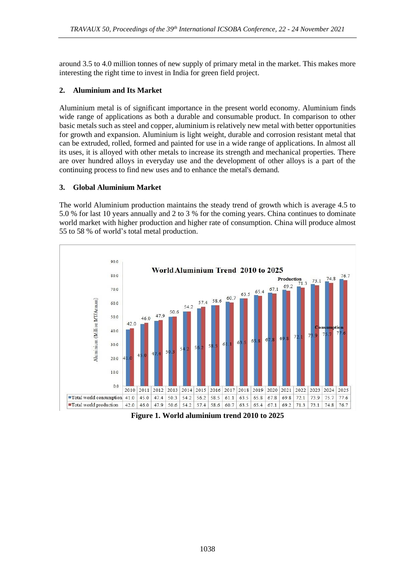around 3.5 to 4.0 million tonnes of new supply of primary metal in the market. This makes more interesting the right time to invest in India for green field project.

## **2. Aluminium and Its Market**

Aluminium metal is of significant importance in the present world economy. Aluminium finds wide range of applications as both a durable and consumable product. In comparison to other basic metals such as steel and copper, aluminium is relatively new metal with better opportunities for growth and expansion. Aluminium is light weight, durable and corrosion resistant metal that can be extruded, rolled, formed and painted for use in a wide range of applications. In almost all its uses, it is alloyed with other metals to increase its strength and mechanical properties. There are over hundred alloys in everyday use and the development of other alloys is a part of the continuing process to find new uses and to enhance the metal's demand.

### **3. Global Aluminium Market**

The world Aluminium production maintains the steady trend of growth which is average 4.5 to 5.0 % for last 10 years annually and 2 to 3 % for the coming years. China continues to dominate world market with higher production and higher rate of consumption. China will produce almost 55 to 58 % of world's total metal production.



**Figure 1. World aluminium trend 2010 to 2025**